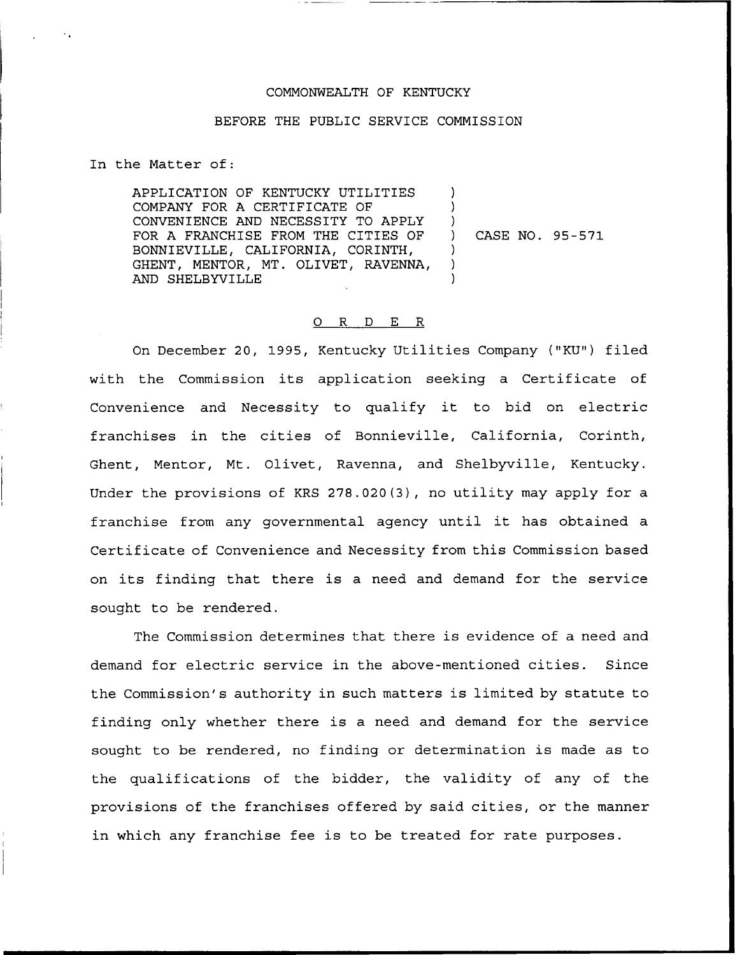## COMMONWEALTH OF KENTUCKY

## BEFORE THE PUBLIC SERVICE COMMISSION

In the Matter of:

APPLICATION OF KENTUCKY UTILITIES COMPANY FOR A CERTIFICATE OF CONVENIENCE AND NECESSITY TO APPLY FOR A FRANCHISE FROM THE CITIES OF BONNIEVILLE, CALIFORNIA, CORINTH, GHENT, MENTOR, MT. OLIVET, RAVENNA, AND SHELBYVILLE ) ) )<br>) ) CASE NO. 95-571  $\left( \right)$ ) )

## 0 R <sup>D</sup> E R

On December 20, 1995, Kentucky Utilities Company ("KU") filed with the Commission its application seeking a Certificate of Convenience and Necessity to qualify it to bid on electric franchises in the cities of Bonnieville, California, Corinth, Ghent, Mentor, Mt. Olivet, Ravenna, and Shelbyville, Kentucky. Under the provisions of KRS 278.020(3), no utility may apply for a franchise from any governmental agency until it has obtained <sup>a</sup> Certificate of Convenience and Necessity from this Commission based on its finding that there is <sup>a</sup> need and demand for the service sought to be rendered.

The Commission determines that there is evidence of a need and demand for electric service in the above-mentioned cities. Since the Commission's authority in such matters is limited by statute to finding only whether there is a need and demand for the service sought to be rendered, no finding or determination is made as to the qualifications of the bidder, the validity of any of the provisions of the franchises offered by said cities, or the manner in which any franchise fee is to be treated for rate purposes.